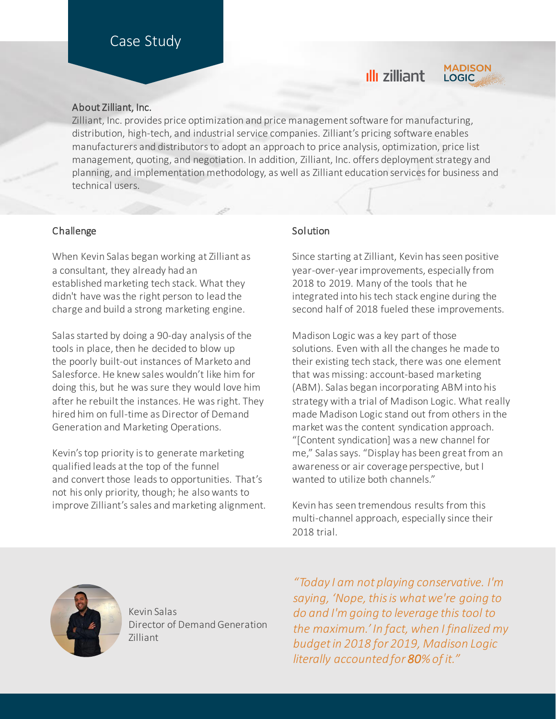# Case Study

## ıllı zilliant



#### About Zilliant, Inc.

Zilliant, Inc. provides price optimization and price management software for manufacturing, distribution, high-tech, and industrial service companies. Zilliant's pricing software enables manufacturers and distributors to adopt an approach to price analysis, optimization, price list management, quoting, and negotiation. In addition, Zilliant, Inc. offers deployment strategy and planning, and implementation methodology, as well as Zilliant education services for business and technical users.

#### Challenge

When Kevin Salas began working at Zilliant as a consultant, they already had an established marketing tech stack. What they didn't have was the right person to lead the charge and build a strong marketing engine.

Salas started by doing a 90-day analysis of the tools in place, then he decided to blow up the poorly built-out instances of Marketo and Salesforce. He knew sales wouldn't like him for doing this, but he was sure they would love him after he rebuilt the instances. He was right. They hired him on full-time as Director of Demand Generation and Marketing Operations.

Kevin's top priority is to generate marketing qualified leads at the top of the funnel and convert those leads to opportunities. That's not his only priority, though; he also wants to improve Zilliant's sales and marketing alignment.

### **Solution**

Since starting at Zilliant, Kevin has seen positive year-over-year improvements, especially from 2018 to 2019. Many of the tools that he integrated into his tech stack engine during the second half of 2018 fueled these improvements.

Madison Logic was a key part of those solutions. Even with all the changes he made to their existing tech stack, there was one element that was missing: account-based marketing (ABM). Salas began incorporating ABM into his strategy with a trial of Madison Logic. What really made Madison Logic stand out from others in the market was the content syndication approach. "[Content syndication] was a new channel for me," Salas says. "Display has been great from an awareness or air coverage perspective, but I wanted to utilize both channels."

Kevin has seen tremendous results from this multi-channel approach, especially since their 2018 trial.



Kevin Salas Director of Demand Generation Zilliant

*"Today I am not playing conservative. I'm saying, 'Nope, this is what we're going to do and I'm going to leverage this tool to the maximum.' In fact, when I finalized my budget in 2018 for 2019, Madison Logic literally accounted for 80% of it."*